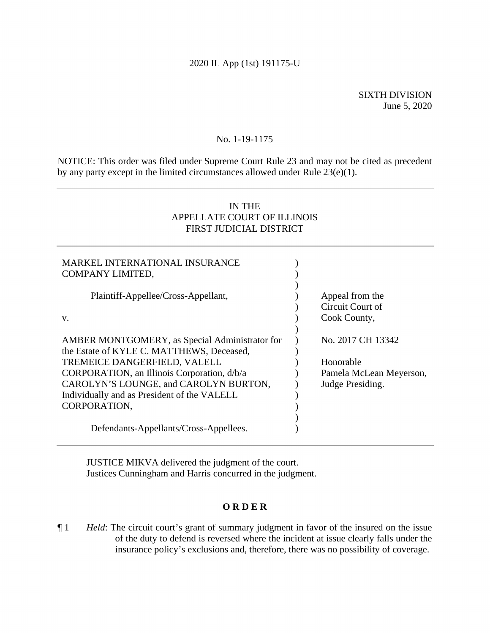# 2020 IL App (1st) 191175-U

SIXTH DIVISION June 5, 2020

## No. 1-19-1175

NOTICE: This order was filed under Supreme Court Rule 23 and may not be cited as precedent by any party except in the limited circumstances allowed under Rule 23(e)(1).

# IN THE APPELLATE COURT OF ILLINOIS FIRST JUDICIAL DISTRICT

| MARKEL INTERNATIONAL INSURANCE<br>COMPANY LIMITED,                                          |                                                     |
|---------------------------------------------------------------------------------------------|-----------------------------------------------------|
| Plaintiff-Appellee/Cross-Appellant,<br>V.                                                   | Appeal from the<br>Circuit Court of<br>Cook County, |
| AMBER MONTGOMERY, as Special Administrator for<br>the Estate of KYLE C. MATTHEWS, Deceased, | No. 2017 CH 13342                                   |
| TREMEICE DANGERFIELD, VALELL                                                                | Honorable                                           |
| CORPORATION, an Illinois Corporation, d/b/a                                                 | Pamela McLean Meyerson,                             |
| CAROLYN'S LOUNGE, and CAROLYN BURTON,                                                       | Judge Presiding.                                    |
| Individually and as President of the VALELL                                                 |                                                     |
| CORPORATION,                                                                                |                                                     |
| Defendants-Appellants/Cross-Appellees.                                                      |                                                     |

 JUSTICE MIKVA delivered the judgment of the court. Justices Cunningham and Harris concurred in the judgment.

## **O R D E R**

¶ 1 *Held*: The circuit court's grant of summary judgment in favor of the insured on the issue of the duty to defend is reversed where the incident at issue clearly falls under the insurance policy's exclusions and, therefore, there was no possibility of coverage.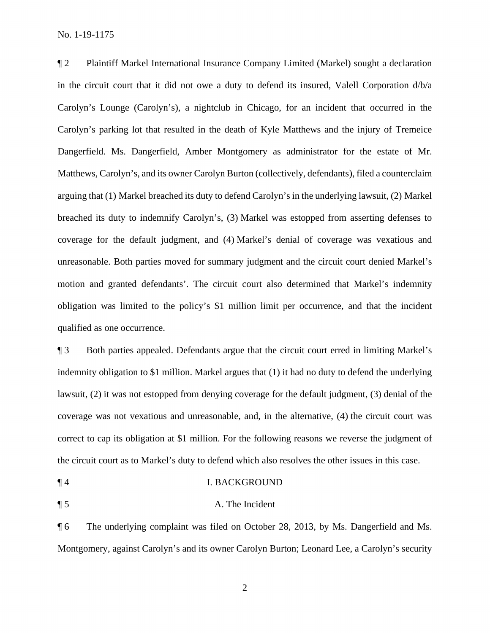No. 1-19-1175

¶ 2 Plaintiff Markel International Insurance Company Limited (Markel) sought a declaration in the circuit court that it did not owe a duty to defend its insured, Valell Corporation d/b/a Carolyn's Lounge (Carolyn's), a nightclub in Chicago, for an incident that occurred in the Carolyn's parking lot that resulted in the death of Kyle Matthews and the injury of Tremeice Dangerfield. Ms. Dangerfield, Amber Montgomery as administrator for the estate of Mr. Matthews, Carolyn's, and its owner Carolyn Burton (collectively, defendants), filed a counterclaim arguing that (1) Markel breached its duty to defend Carolyn's in the underlying lawsuit, (2) Markel breached its duty to indemnify Carolyn's, (3) Markel was estopped from asserting defenses to coverage for the default judgment, and (4) Markel's denial of coverage was vexatious and unreasonable. Both parties moved for summary judgment and the circuit court denied Markel's motion and granted defendants'. The circuit court also determined that Markel's indemnity obligation was limited to the policy's \$1 million limit per occurrence, and that the incident qualified as one occurrence.

¶ 3 Both parties appealed. Defendants argue that the circuit court erred in limiting Markel's indemnity obligation to \$1 million. Markel argues that (1) it had no duty to defend the underlying lawsuit, (2) it was not estopped from denying coverage for the default judgment, (3) denial of the coverage was not vexatious and unreasonable, and, in the alternative, (4) the circuit court was correct to cap its obligation at \$1 million. For the following reasons we reverse the judgment of the circuit court as to Markel's duty to defend which also resolves the other issues in this case.

- ¶ 4 I. BACKGROUND
- ¶ 5 A. The Incident

¶ 6 The underlying complaint was filed on October 28, 2013, by Ms. Dangerfield and Ms. Montgomery, against Carolyn's and its owner Carolyn Burton; Leonard Lee, a Carolyn's security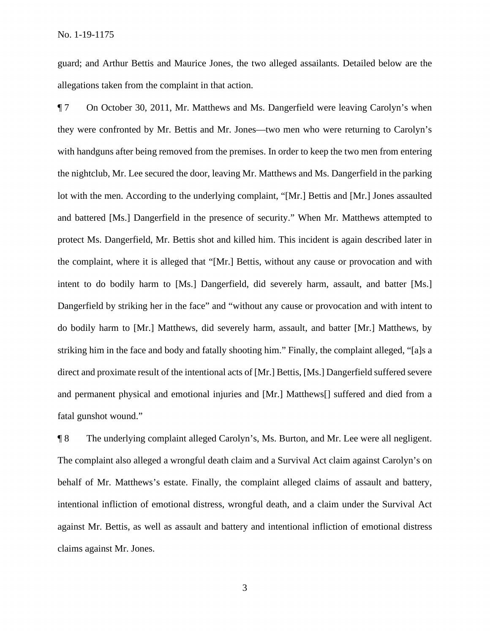guard; and Arthur Bettis and Maurice Jones, the two alleged assailants. Detailed below are the allegations taken from the complaint in that action.

¶ 7 On October 30, 2011, Mr. Matthews and Ms. Dangerfield were leaving Carolyn's when they were confronted by Mr. Bettis and Mr. Jones—two men who were returning to Carolyn's with handguns after being removed from the premises. In order to keep the two men from entering the nightclub, Mr. Lee secured the door, leaving Mr. Matthews and Ms. Dangerfield in the parking lot with the men. According to the underlying complaint, "[Mr.] Bettis and [Mr.] Jones assaulted and battered [Ms.] Dangerfield in the presence of security." When Mr. Matthews attempted to protect Ms. Dangerfield, Mr. Bettis shot and killed him. This incident is again described later in the complaint, where it is alleged that "[Mr.] Bettis, without any cause or provocation and with intent to do bodily harm to [Ms.] Dangerfield, did severely harm, assault, and batter [Ms.] Dangerfield by striking her in the face" and "without any cause or provocation and with intent to do bodily harm to [Mr.] Matthews, did severely harm, assault, and batter [Mr.] Matthews, by striking him in the face and body and fatally shooting him." Finally, the complaint alleged, "[a]s a direct and proximate result of the intentional acts of [Mr.] Bettis, [Ms.] Dangerfield suffered severe and permanent physical and emotional injuries and [Mr.] Matthews[] suffered and died from a fatal gunshot wound."

¶ 8 The underlying complaint alleged Carolyn's, Ms. Burton, and Mr. Lee were all negligent. The complaint also alleged a wrongful death claim and a Survival Act claim against Carolyn's on behalf of Mr. Matthews's estate. Finally, the complaint alleged claims of assault and battery, intentional infliction of emotional distress, wrongful death, and a claim under the Survival Act against Mr. Bettis, as well as assault and battery and intentional infliction of emotional distress claims against Mr. Jones.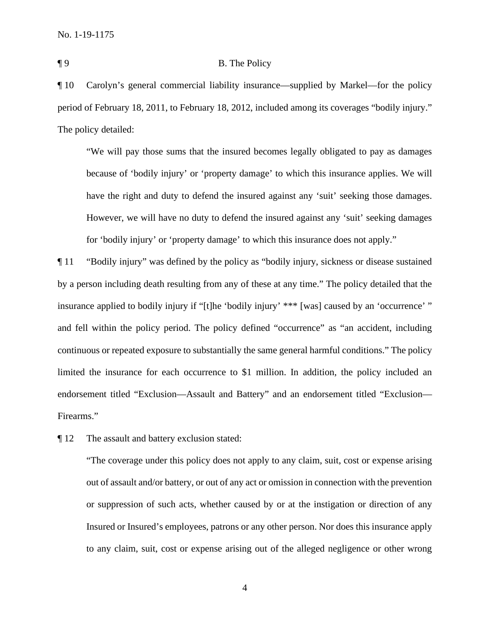## ¶ 9 B. The Policy

¶ 10 Carolyn's general commercial liability insurance—supplied by Markel—for the policy period of February 18, 2011, to February 18, 2012, included among its coverages "bodily injury." The policy detailed:

"We will pay those sums that the insured becomes legally obligated to pay as damages because of 'bodily injury' or 'property damage' to which this insurance applies. We will have the right and duty to defend the insured against any 'suit' seeking those damages. However, we will have no duty to defend the insured against any 'suit' seeking damages for 'bodily injury' or 'property damage' to which this insurance does not apply."

¶ 11 "Bodily injury" was defined by the policy as "bodily injury, sickness or disease sustained by a person including death resulting from any of these at any time." The policy detailed that the insurance applied to bodily injury if "[t]he 'bodily injury' \*\*\* [was] caused by an 'occurrence' " and fell within the policy period. The policy defined "occurrence" as "an accident, including continuous or repeated exposure to substantially the same general harmful conditions." The policy limited the insurance for each occurrence to \$1 million. In addition, the policy included an endorsement titled "Exclusion—Assault and Battery" and an endorsement titled "Exclusion— Firearms."

¶ 12 The assault and battery exclusion stated:

"The coverage under this policy does not apply to any claim, suit, cost or expense arising out of assault and/or battery, or out of any act or omission in connection with the prevention or suppression of such acts, whether caused by or at the instigation or direction of any Insured or Insured's employees, patrons or any other person. Nor does this insurance apply to any claim, suit, cost or expense arising out of the alleged negligence or other wrong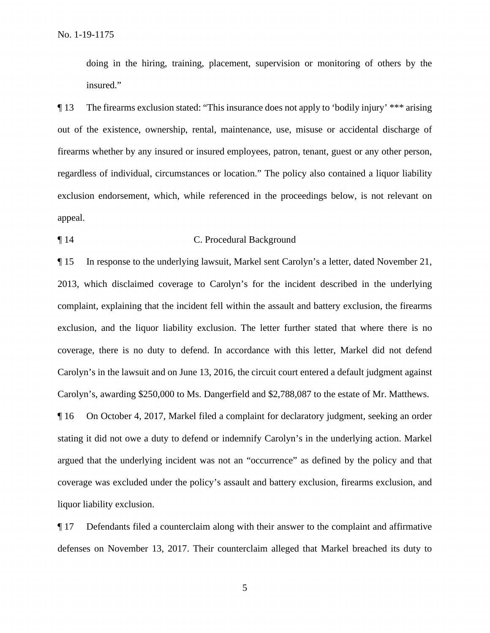doing in the hiring, training, placement, supervision or monitoring of others by the insured."

¶ 13 The firearms exclusion stated: "This insurance does not apply to 'bodily injury' \*\*\* arising out of the existence, ownership, rental, maintenance, use, misuse or accidental discharge of firearms whether by any insured or insured employees, patron, tenant, guest or any other person, regardless of individual, circumstances or location." The policy also contained a liquor liability exclusion endorsement, which, while referenced in the proceedings below, is not relevant on appeal.

### ¶ 14 C. Procedural Background

¶ 15 In response to the underlying lawsuit, Markel sent Carolyn's a letter, dated November 21, 2013, which disclaimed coverage to Carolyn's for the incident described in the underlying complaint, explaining that the incident fell within the assault and battery exclusion, the firearms exclusion, and the liquor liability exclusion. The letter further stated that where there is no coverage, there is no duty to defend. In accordance with this letter, Markel did not defend Carolyn's in the lawsuit and on June 13, 2016, the circuit court entered a default judgment against Carolyn's, awarding \$250,000 to Ms. Dangerfield and \$2,788,087 to the estate of Mr. Matthews.

¶ 16 On October 4, 2017, Markel filed a complaint for declaratory judgment, seeking an order stating it did not owe a duty to defend or indemnify Carolyn's in the underlying action. Markel argued that the underlying incident was not an "occurrence" as defined by the policy and that coverage was excluded under the policy's assault and battery exclusion, firearms exclusion, and liquor liability exclusion.

¶ 17 Defendants filed a counterclaim along with their answer to the complaint and affirmative defenses on November 13, 2017. Their counterclaim alleged that Markel breached its duty to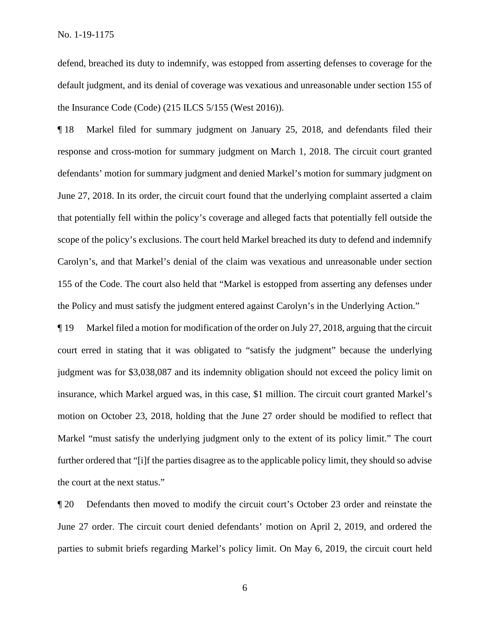defend, breached its duty to indemnify, was estopped from asserting defenses to coverage for the default judgment, and its denial of coverage was vexatious and unreasonable under section 155 of the Insurance Code (Code) (215 ILCS 5/155 (West 2016)).

¶ 18 Markel filed for summary judgment on January 25, 2018, and defendants filed their response and cross-motion for summary judgment on March 1, 2018. The circuit court granted defendants' motion for summary judgment and denied Markel's motion for summary judgment on June 27, 2018. In its order, the circuit court found that the underlying complaint asserted a claim that potentially fell within the policy's coverage and alleged facts that potentially fell outside the scope of the policy's exclusions. The court held Markel breached its duty to defend and indemnify Carolyn's, and that Markel's denial of the claim was vexatious and unreasonable under section 155 of the Code. The court also held that "Markel is estopped from asserting any defenses under the Policy and must satisfy the judgment entered against Carolyn's in the Underlying Action."

¶ 19 Markel filed a motion for modification of the order on July 27, 2018, arguing that the circuit court erred in stating that it was obligated to "satisfy the judgment" because the underlying judgment was for \$3,038,087 and its indemnity obligation should not exceed the policy limit on insurance, which Markel argued was, in this case, \$1 million. The circuit court granted Markel's motion on October 23, 2018, holding that the June 27 order should be modified to reflect that Markel "must satisfy the underlying judgment only to the extent of its policy limit." The court further ordered that "[i]f the parties disagree as to the applicable policy limit, they should so advise the court at the next status."

¶ 20 Defendants then moved to modify the circuit court's October 23 order and reinstate the June 27 order. The circuit court denied defendants' motion on April 2, 2019, and ordered the parties to submit briefs regarding Markel's policy limit. On May 6, 2019, the circuit court held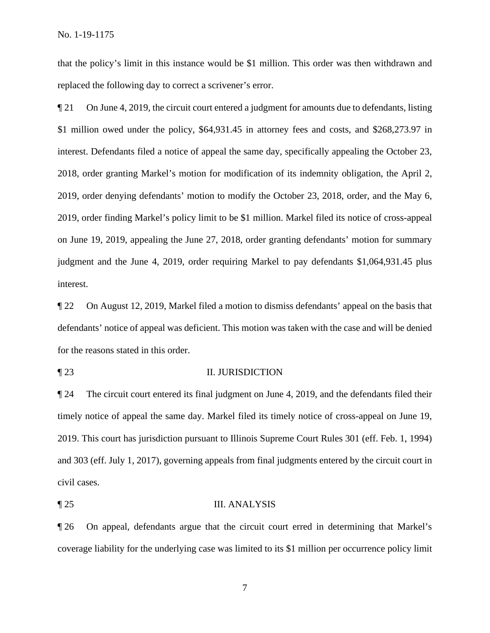that the policy's limit in this instance would be \$1 million. This order was then withdrawn and replaced the following day to correct a scrivener's error.

¶ 21 On June 4, 2019, the circuit court entered a judgment for amounts due to defendants, listing \$1 million owed under the policy, \$64,931.45 in attorney fees and costs, and \$268,273.97 in interest. Defendants filed a notice of appeal the same day, specifically appealing the October 23, 2018, order granting Markel's motion for modification of its indemnity obligation, the April 2, 2019, order denying defendants' motion to modify the October 23, 2018, order, and the May 6, 2019, order finding Markel's policy limit to be \$1 million. Markel filed its notice of cross-appeal on June 19, 2019, appealing the June 27, 2018, order granting defendants' motion for summary judgment and the June 4, 2019, order requiring Markel to pay defendants \$1,064,931.45 plus interest.

¶ 22 On August 12, 2019, Markel filed a motion to dismiss defendants' appeal on the basis that defendants' notice of appeal was deficient. This motion was taken with the case and will be denied for the reasons stated in this order.

### ¶ 23 II. JURISDICTION

¶ 24 The circuit court entered its final judgment on June 4, 2019, and the defendants filed their timely notice of appeal the same day. Markel filed its timely notice of cross-appeal on June 19, 2019. This court has jurisdiction pursuant to Illinois Supreme Court Rules 301 (eff. Feb. 1, 1994) and 303 (eff. July 1, 2017), governing appeals from final judgments entered by the circuit court in civil cases.

#### ¶ 25 III. ANALYSIS

¶ 26 On appeal, defendants argue that the circuit court erred in determining that Markel's coverage liability for the underlying case was limited to its \$1 million per occurrence policy limit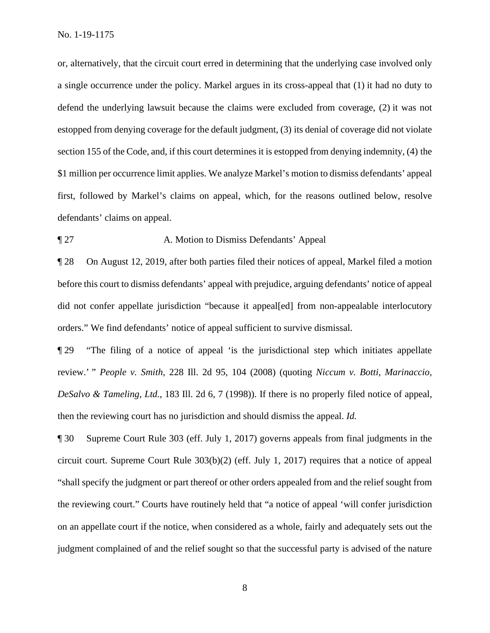No. 1-19-1175

or, alternatively, that the circuit court erred in determining that the underlying case involved only a single occurrence under the policy. Markel argues in its cross-appeal that (1) it had no duty to defend the underlying lawsuit because the claims were excluded from coverage, (2) it was not estopped from denying coverage for the default judgment, (3) its denial of coverage did not violate section 155 of the Code, and, if this court determines it is estopped from denying indemnity, (4) the \$1 million per occurrence limit applies. We analyze Markel's motion to dismiss defendants' appeal first, followed by Markel's claims on appeal, which, for the reasons outlined below, resolve defendants' claims on appeal.

## ¶ 27 A. Motion to Dismiss Defendants' Appeal

¶ 28 On August 12, 2019, after both parties filed their notices of appeal, Markel filed a motion before this court to dismiss defendants' appeal with prejudice, arguing defendants' notice of appeal did not confer appellate jurisdiction "because it appeal[ed] from non-appealable interlocutory orders." We find defendants' notice of appeal sufficient to survive dismissal.

¶ 29 "The filing of a notice of appeal 'is the jurisdictional step which initiates appellate review.' " *People v. Smith*, 228 Ill. 2d 95, 104 (2008) (quoting *Niccum v. Botti, Marinaccio, DeSalvo & Tameling, Ltd.*, 183 Ill. 2d 6, 7 (1998)). If there is no properly filed notice of appeal, then the reviewing court has no jurisdiction and should dismiss the appeal. *Id.*

¶ 30 Supreme Court Rule 303 (eff. July 1, 2017) governs appeals from final judgments in the circuit court. Supreme Court Rule 303(b)(2) (eff. July 1, 2017) requires that a notice of appeal "shall specify the judgment or part thereof or other orders appealed from and the relief sought from the reviewing court." Courts have routinely held that "a notice of appeal 'will confer jurisdiction on an appellate court if the notice, when considered as a whole, fairly and adequately sets out the judgment complained of and the relief sought so that the successful party is advised of the nature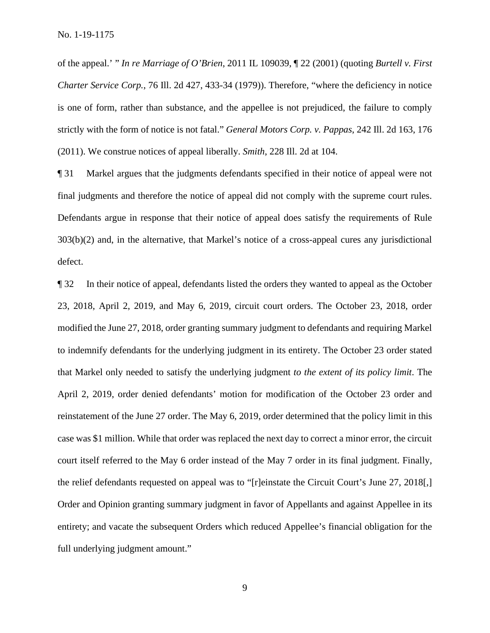of the appeal.' " *In re Marriage of O'Brien*, 2011 IL 109039, ¶ 22 (2001) (quoting *Burtell v. First Charter Service Corp.*, 76 Ill. 2d 427, 433-34 (1979)). Therefore, "where the deficiency in notice is one of form, rather than substance, and the appellee is not prejudiced, the failure to comply strictly with the form of notice is not fatal." *General Motors Corp. v. Pappas*, 242 Ill. 2d 163, 176 (2011). We construe notices of appeal liberally. *Smith*, 228 Ill. 2d at 104.

¶ 31 Markel argues that the judgments defendants specified in their notice of appeal were not final judgments and therefore the notice of appeal did not comply with the supreme court rules. Defendants argue in response that their notice of appeal does satisfy the requirements of Rule 303(b)(2) and, in the alternative, that Markel's notice of a cross-appeal cures any jurisdictional defect.

¶ 32 In their notice of appeal, defendants listed the orders they wanted to appeal as the October 23, 2018, April 2, 2019, and May 6, 2019, circuit court orders. The October 23, 2018, order modified the June 27, 2018, order granting summary judgment to defendants and requiring Markel to indemnify defendants for the underlying judgment in its entirety. The October 23 order stated that Markel only needed to satisfy the underlying judgment *to the extent of its policy limit*. The April 2, 2019, order denied defendants' motion for modification of the October 23 order and reinstatement of the June 27 order. The May 6, 2019, order determined that the policy limit in this case was \$1 million. While that order was replaced the next day to correct a minor error, the circuit court itself referred to the May 6 order instead of the May 7 order in its final judgment. Finally, the relief defendants requested on appeal was to "[r]einstate the Circuit Court's June 27, 2018[,] Order and Opinion granting summary judgment in favor of Appellants and against Appellee in its entirety; and vacate the subsequent Orders which reduced Appellee's financial obligation for the full underlying judgment amount."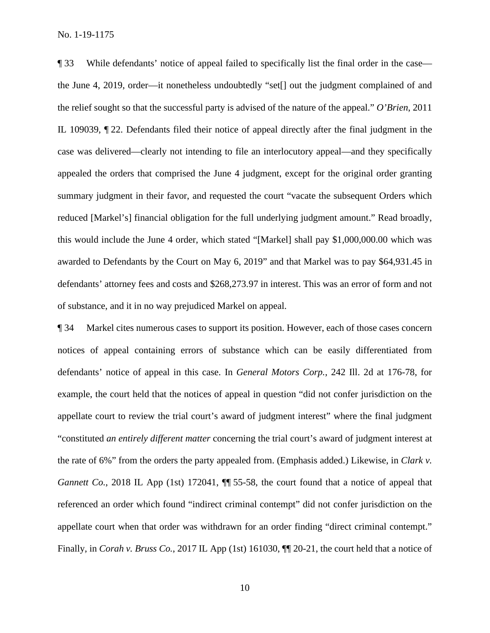¶ 33 While defendants' notice of appeal failed to specifically list the final order in the case the June 4, 2019, order—it nonetheless undoubtedly "set[] out the judgment complained of and the relief sought so that the successful party is advised of the nature of the appeal." *O'Brien*, 2011 IL 109039, ¶ 22. Defendants filed their notice of appeal directly after the final judgment in the case was delivered—clearly not intending to file an interlocutory appeal—and they specifically appealed the orders that comprised the June 4 judgment, except for the original order granting summary judgment in their favor, and requested the court "vacate the subsequent Orders which reduced [Markel's] financial obligation for the full underlying judgment amount." Read broadly, this would include the June 4 order, which stated "[Markel] shall pay \$1,000,000.00 which was awarded to Defendants by the Court on May 6, 2019" and that Markel was to pay \$64,931.45 in defendants' attorney fees and costs and \$268,273.97 in interest. This was an error of form and not of substance, and it in no way prejudiced Markel on appeal.

¶ 34 Markel cites numerous cases to support its position. However, each of those cases concern notices of appeal containing errors of substance which can be easily differentiated from defendants' notice of appeal in this case. In *General Motors Corp.*, 242 Ill. 2d at 176-78, for example, the court held that the notices of appeal in question "did not confer jurisdiction on the appellate court to review the trial court's award of judgment interest" where the final judgment "constituted *an entirely different matter* concerning the trial court's award of judgment interest at the rate of 6%" from the orders the party appealed from. (Emphasis added.) Likewise, in *Clark v. Gannett Co.*, 2018 IL App (1st) 172041,  $\P$  55-58, the court found that a notice of appeal that referenced an order which found "indirect criminal contempt" did not confer jurisdiction on the appellate court when that order was withdrawn for an order finding "direct criminal contempt." Finally, in *Corah v. Bruss Co.*, 2017 IL App (1st) 161030, ¶¶ 20-21, the court held that a notice of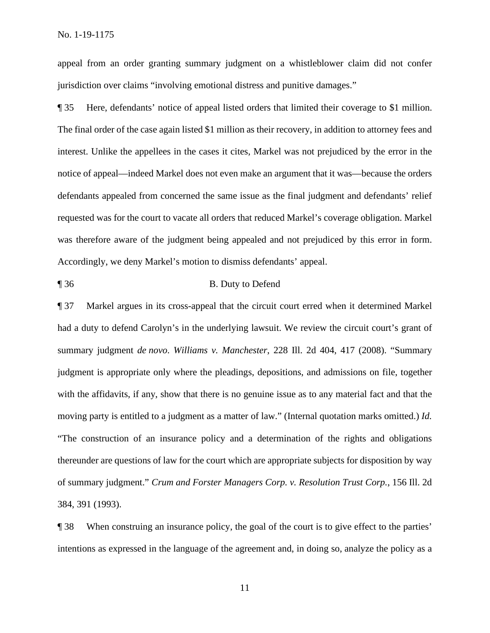appeal from an order granting summary judgment on a whistleblower claim did not confer jurisdiction over claims "involving emotional distress and punitive damages."

¶ 35 Here, defendants' notice of appeal listed orders that limited their coverage to \$1 million. The final order of the case again listed \$1 million as their recovery, in addition to attorney fees and interest. Unlike the appellees in the cases it cites, Markel was not prejudiced by the error in the notice of appeal—indeed Markel does not even make an argument that it was—because the orders defendants appealed from concerned the same issue as the final judgment and defendants' relief requested was for the court to vacate all orders that reduced Markel's coverage obligation. Markel was therefore aware of the judgment being appealed and not prejudiced by this error in form. Accordingly, we deny Markel's motion to dismiss defendants' appeal.

¶ 36 B. Duty to Defend

¶ 37 Markel argues in its cross-appeal that the circuit court erred when it determined Markel had a duty to defend Carolyn's in the underlying lawsuit. We review the circuit court's grant of summary judgment *de novo*. *Williams v. Manchester*, 228 Ill. 2d 404, 417 (2008). "Summary judgment is appropriate only where the pleadings, depositions, and admissions on file, together with the affidavits, if any, show that there is no genuine issue as to any material fact and that the moving party is entitled to a judgment as a matter of law." (Internal quotation marks omitted.) *Id.* "The construction of an insurance policy and a determination of the rights and obligations thereunder are questions of law for the court which are appropriate subjects for disposition by way of summary judgment." *Crum and Forster Managers Corp. v. Resolution Trust Corp.*, 156 Ill. 2d 384, 391 (1993).

¶ 38 When construing an insurance policy, the goal of the court is to give effect to the parties' intentions as expressed in the language of the agreement and, in doing so, analyze the policy as a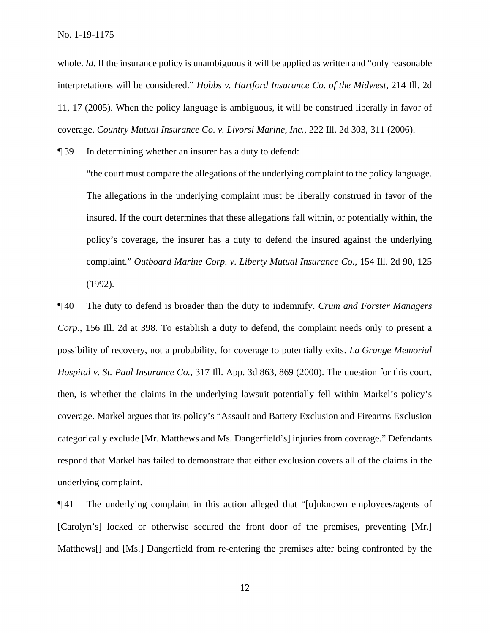whole. *Id.* If the insurance policy is unambiguous it will be applied as written and "only reasonable" interpretations will be considered." *Hobbs v. Hartford Insurance Co. of the Midwest*, 214 Ill. 2d 11, 17 (2005). When the policy language is ambiguous, it will be construed liberally in favor of coverage. *Country Mutual Insurance Co. v. Livorsi Marine, Inc.*, 222 Ill. 2d 303, 311 (2006).

¶ 39 In determining whether an insurer has a duty to defend:

"the court must compare the allegations of the underlying complaint to the policy language. The allegations in the underlying complaint must be liberally construed in favor of the insured. If the court determines that these allegations fall within, or potentially within, the policy's coverage, the insurer has a duty to defend the insured against the underlying complaint." *Outboard Marine Corp. v. Liberty Mutual Insurance Co.*, 154 Ill. 2d 90, 125 (1992).

¶ 40 The duty to defend is broader than the duty to indemnify. *Crum and Forster Managers Corp.*, 156 Ill. 2d at 398. To establish a duty to defend, the complaint needs only to present a possibility of recovery, not a probability, for coverage to potentially exits. *La Grange Memorial Hospital v. St. Paul Insurance Co.*, 317 Ill. App. 3d 863, 869 (2000). The question for this court, then, is whether the claims in the underlying lawsuit potentially fell within Markel's policy's coverage. Markel argues that its policy's "Assault and Battery Exclusion and Firearms Exclusion categorically exclude [Mr. Matthews and Ms. Dangerfield's] injuries from coverage." Defendants respond that Markel has failed to demonstrate that either exclusion covers all of the claims in the underlying complaint.

¶ 41 The underlying complaint in this action alleged that "[u]nknown employees/agents of [Carolyn's] locked or otherwise secured the front door of the premises, preventing [Mr.] Matthews[] and [Ms.] Dangerfield from re-entering the premises after being confronted by the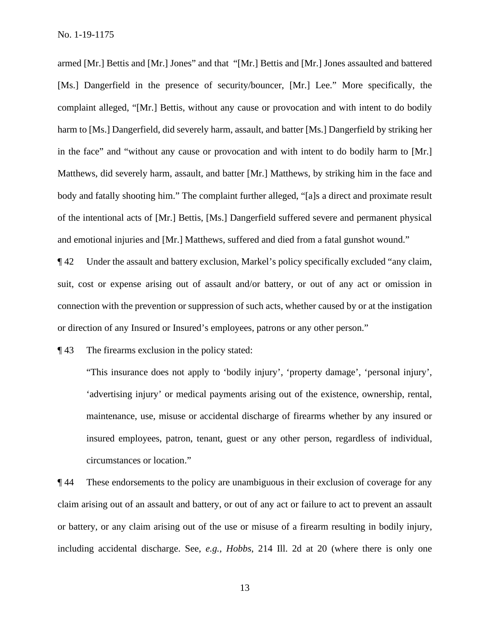armed [Mr.] Bettis and [Mr.] Jones" and that "[Mr.] Bettis and [Mr.] Jones assaulted and battered [Ms.] Dangerfield in the presence of security/bouncer, [Mr.] Lee." More specifically, the complaint alleged, "[Mr.] Bettis, without any cause or provocation and with intent to do bodily harm to [Ms.] Dangerfield, did severely harm, assault, and batter [Ms.] Dangerfield by striking her in the face" and "without any cause or provocation and with intent to do bodily harm to [Mr.] Matthews, did severely harm, assault, and batter [Mr.] Matthews, by striking him in the face and body and fatally shooting him." The complaint further alleged, "[a]s a direct and proximate result of the intentional acts of [Mr.] Bettis, [Ms.] Dangerfield suffered severe and permanent physical and emotional injuries and [Mr.] Matthews, suffered and died from a fatal gunshot wound."

¶ 42 Under the assault and battery exclusion, Markel's policy specifically excluded "any claim, suit, cost or expense arising out of assault and/or battery, or out of any act or omission in connection with the prevention or suppression of such acts, whether caused by or at the instigation or direction of any Insured or Insured's employees, patrons or any other person."

¶ 43 The firearms exclusion in the policy stated:

"This insurance does not apply to 'bodily injury', 'property damage', 'personal injury', 'advertising injury' or medical payments arising out of the existence, ownership, rental, maintenance, use, misuse or accidental discharge of firearms whether by any insured or insured employees, patron, tenant, guest or any other person, regardless of individual, circumstances or location."

¶ 44 These endorsements to the policy are unambiguous in their exclusion of coverage for any claim arising out of an assault and battery, or out of any act or failure to act to prevent an assault or battery, or any claim arising out of the use or misuse of a firearm resulting in bodily injury, including accidental discharge. See, *e.g.*, *Hobbs*, 214 Ill. 2d at 20 (where there is only one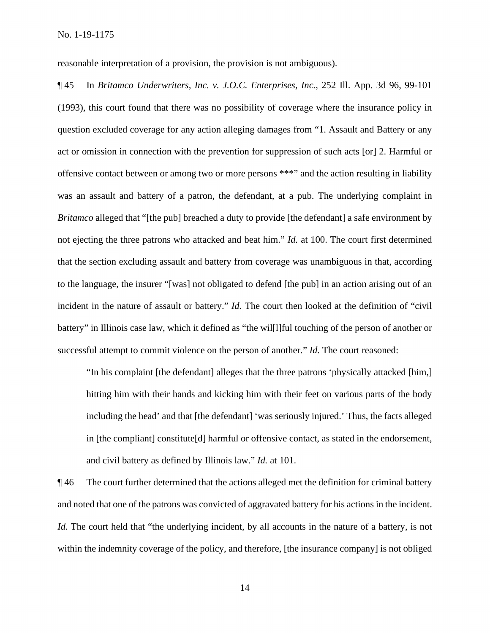reasonable interpretation of a provision, the provision is not ambiguous).

¶ 45 In *Britamco Underwriters, Inc. v. J.O.C. Enterprises, Inc.*, 252 Ill. App. 3d 96, 99-101 (1993), this court found that there was no possibility of coverage where the insurance policy in question excluded coverage for any action alleging damages from "1. Assault and Battery or any act or omission in connection with the prevention for suppression of such acts [or] 2. Harmful or offensive contact between or among two or more persons \*\*\*" and the action resulting in liability was an assault and battery of a patron, the defendant, at a pub. The underlying complaint in *Britamco* alleged that "[the pub] breached a duty to provide [the defendant] a safe environment by not ejecting the three patrons who attacked and beat him." *Id.* at 100. The court first determined that the section excluding assault and battery from coverage was unambiguous in that, according to the language, the insurer "[was] not obligated to defend [the pub] in an action arising out of an incident in the nature of assault or battery." *Id.* The court then looked at the definition of "civil battery" in Illinois case law, which it defined as "the wil[l]ful touching of the person of another or successful attempt to commit violence on the person of another." *Id.* The court reasoned:

"In his complaint [the defendant] alleges that the three patrons 'physically attacked [him,] hitting him with their hands and kicking him with their feet on various parts of the body including the head' and that [the defendant] 'was seriously injured.' Thus, the facts alleged in [the compliant] constitute[d] harmful or offensive contact, as stated in the endorsement, and civil battery as defined by Illinois law." *Id.* at 101.

¶ 46 The court further determined that the actions alleged met the definition for criminal battery and noted that one of the patrons was convicted of aggravated battery for his actions in the incident. *Id.* The court held that "the underlying incident, by all accounts in the nature of a battery, is not within the indemnity coverage of the policy, and therefore, [the insurance company] is not obliged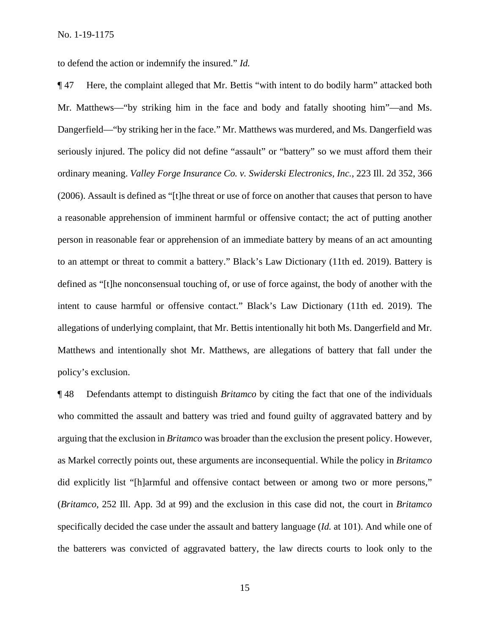to defend the action or indemnify the insured." *Id.*

¶ 47 Here, the complaint alleged that Mr. Bettis "with intent to do bodily harm" attacked both Mr. Matthews—"by striking him in the face and body and fatally shooting him"—and Ms. Dangerfield—"by striking her in the face." Mr. Matthews was murdered, and Ms. Dangerfield was seriously injured. The policy did not define "assault" or "battery" so we must afford them their ordinary meaning. *Valley Forge Insurance Co. v. Swiderski Electronics, Inc.*, 223 Ill. 2d 352, 366 (2006). Assault is defined as "[t]he threat or use of force on another that causes that person to have a reasonable apprehension of imminent harmful or offensive contact; the act of putting another person in reasonable fear or apprehension of an immediate battery by means of an act amounting to an attempt or threat to commit a battery." Black's Law Dictionary (11th ed. 2019). Battery is defined as "[t]he nonconsensual touching of, or use of force against, the body of another with the intent to cause harmful or offensive contact." Black's Law Dictionary (11th ed. 2019). The allegations of underlying complaint, that Mr. Bettis intentionally hit both Ms. Dangerfield and Mr. Matthews and intentionally shot Mr. Matthews, are allegations of battery that fall under the policy's exclusion.

¶ 48 Defendants attempt to distinguish *Britamco* by citing the fact that one of the individuals who committed the assault and battery was tried and found guilty of aggravated battery and by arguing that the exclusion in *Britamco* was broader than the exclusion the present policy. However, as Markel correctly points out, these arguments are inconsequential. While the policy in *Britamco* did explicitly list "[h]armful and offensive contact between or among two or more persons," (*Britamco*, 252 Ill. App. 3d at 99) and the exclusion in this case did not, the court in *Britamco* specifically decided the case under the assault and battery language (*Id.* at 101). And while one of the batterers was convicted of aggravated battery, the law directs courts to look only to the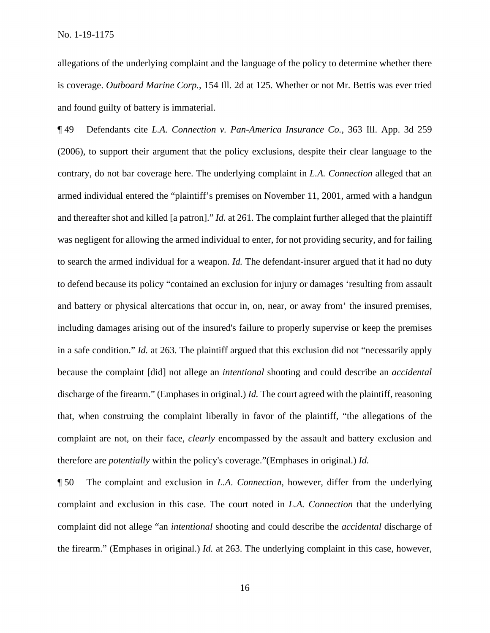No. 1-19-1175

allegations of the underlying complaint and the language of the policy to determine whether there is coverage. *Outboard Marine Corp.*, 154 Ill. 2d at 125. Whether or not Mr. Bettis was ever tried and found guilty of battery is immaterial.

¶ 49 Defendants cite *L.A. Connection v. Pan-America Insurance Co.*, 363 Ill. App. 3d 259 (2006), to support their argument that the policy exclusions, despite their clear language to the contrary, do not bar coverage here. The underlying complaint in *L.A. Connection* alleged that an armed individual entered the "plaintiff's premises on November 11, 2001, armed with a handgun and thereafter shot and killed [a patron]." *Id.* at 261. The complaint further alleged that the plaintiff was negligent for allowing the armed individual to enter, for not providing security, and for failing to search the armed individual for a weapon. *Id.* The defendant-insurer argued that it had no duty to defend because its policy "contained an exclusion for injury or damages 'resulting from assault and battery or physical altercations that occur in, on, near, or away from' the insured premises, including damages arising out of the insured's failure to properly supervise or keep the premises in a safe condition." *Id.* at 263. The plaintiff argued that this exclusion did not "necessarily apply because the complaint [did] not allege an *intentional* shooting and could describe an *accidental* discharge of the firearm." (Emphases in original.) *Id.* The court agreed with the plaintiff, reasoning that, when construing the complaint liberally in favor of the plaintiff, "the allegations of the complaint are not, on their face, *clearly* encompassed by the assault and battery exclusion and therefore are *potentially* within the policy's coverage."(Emphases in original.) *Id.* 

¶ 50 The complaint and exclusion in *L.A. Connection*, however, differ from the underlying complaint and exclusion in this case. The court noted in *L.A. Connection* that the underlying complaint did not allege "an *intentional* shooting and could describe the *accidental* discharge of the firearm." (Emphases in original.) *Id.* at 263. The underlying complaint in this case, however,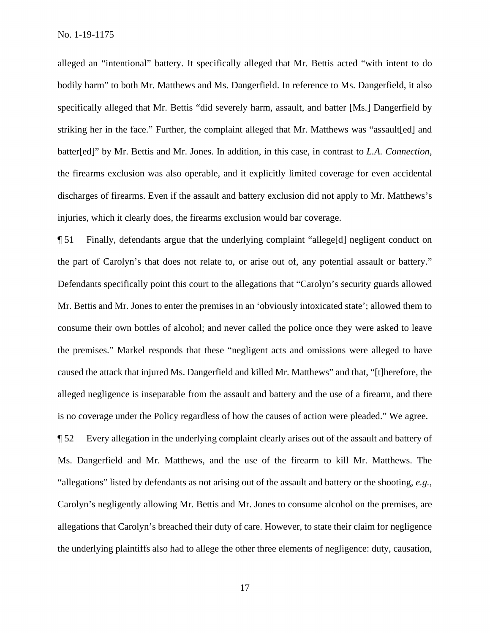alleged an "intentional" battery. It specifically alleged that Mr. Bettis acted "with intent to do bodily harm" to both Mr. Matthews and Ms. Dangerfield. In reference to Ms. Dangerfield, it also specifically alleged that Mr. Bettis "did severely harm, assault, and batter [Ms.] Dangerfield by striking her in the face." Further, the complaint alleged that Mr. Matthews was "assault[ed] and batter[ed]" by Mr. Bettis and Mr. Jones. In addition, in this case, in contrast to *L.A. Connection*, the firearms exclusion was also operable, and it explicitly limited coverage for even accidental discharges of firearms. Even if the assault and battery exclusion did not apply to Mr. Matthews's injuries, which it clearly does, the firearms exclusion would bar coverage.

¶ 51 Finally, defendants argue that the underlying complaint "allege[d] negligent conduct on the part of Carolyn's that does not relate to, or arise out of, any potential assault or battery." Defendants specifically point this court to the allegations that "Carolyn's security guards allowed Mr. Bettis and Mr. Jones to enter the premises in an 'obviously intoxicated state'; allowed them to consume their own bottles of alcohol; and never called the police once they were asked to leave the premises." Markel responds that these "negligent acts and omissions were alleged to have caused the attack that injured Ms. Dangerfield and killed Mr. Matthews" and that, "[t]herefore, the alleged negligence is inseparable from the assault and battery and the use of a firearm, and there is no coverage under the Policy regardless of how the causes of action were pleaded." We agree.

¶ 52 Every allegation in the underlying complaint clearly arises out of the assault and battery of Ms. Dangerfield and Mr. Matthews, and the use of the firearm to kill Mr. Matthews. The "allegations" listed by defendants as not arising out of the assault and battery or the shooting, *e.g.*, Carolyn's negligently allowing Mr. Bettis and Mr. Jones to consume alcohol on the premises, are allegations that Carolyn's breached their duty of care. However, to state their claim for negligence the underlying plaintiffs also had to allege the other three elements of negligence: duty, causation,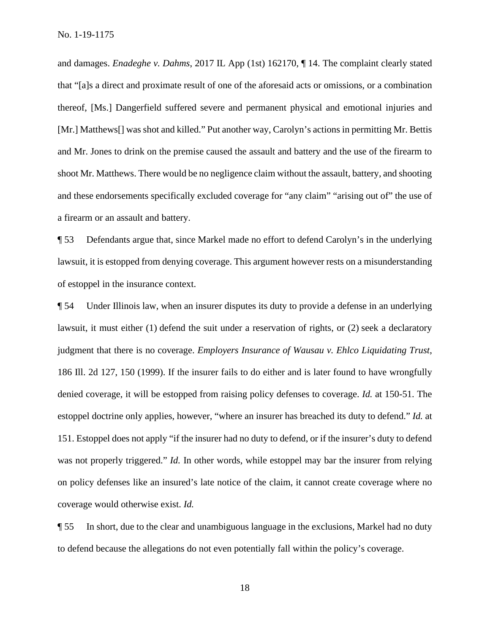and damages. *Enadeghe v. Dahms*, 2017 IL App (1st) 162170, ¶ 14. The complaint clearly stated that "[a]s a direct and proximate result of one of the aforesaid acts or omissions, or a combination thereof, [Ms.] Dangerfield suffered severe and permanent physical and emotional injuries and [Mr.] Matthews[] was shot and killed." Put another way, Carolyn's actions in permitting Mr. Bettis and Mr. Jones to drink on the premise caused the assault and battery and the use of the firearm to shoot Mr. Matthews. There would be no negligence claim without the assault, battery, and shooting and these endorsements specifically excluded coverage for "any claim" "arising out of" the use of a firearm or an assault and battery.

¶ 53 Defendants argue that, since Markel made no effort to defend Carolyn's in the underlying lawsuit, it is estopped from denying coverage. This argument however rests on a misunderstanding of estoppel in the insurance context.

¶ 54 Under Illinois law, when an insurer disputes its duty to provide a defense in an underlying lawsuit, it must either (1) defend the suit under a reservation of rights, or (2) seek a declaratory judgment that there is no coverage. *Employers Insurance of Wausau v. Ehlco Liquidating Trust*, 186 Ill. 2d 127, 150 (1999). If the insurer fails to do either and is later found to have wrongfully denied coverage, it will be estopped from raising policy defenses to coverage. *Id.* at 150-51. The estoppel doctrine only applies, however, "where an insurer has breached its duty to defend." *Id.* at 151. Estoppel does not apply "if the insurer had no duty to defend, or if the insurer's duty to defend was not properly triggered." *Id.* In other words, while estoppel may bar the insurer from relying on policy defenses like an insured's late notice of the claim, it cannot create coverage where no coverage would otherwise exist. *Id.* 

¶ 55 In short, due to the clear and unambiguous language in the exclusions, Markel had no duty to defend because the allegations do not even potentially fall within the policy's coverage.